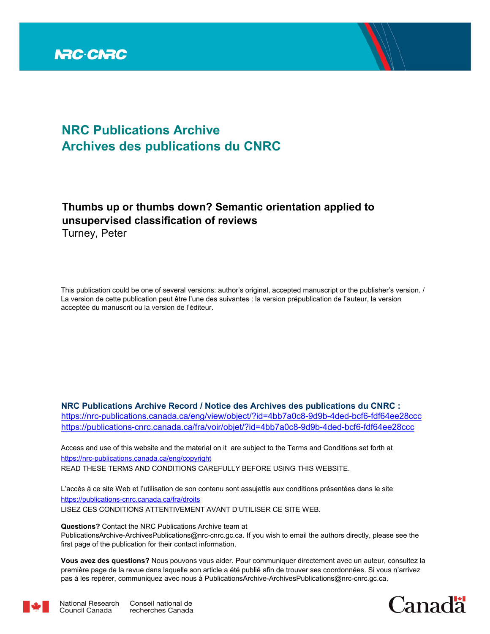

# **NRC Publications Archive Archives des publications du CNRC**

## **Thumbs up or thumbs down? Semantic orientation applied to unsupervised classification of reviews**

Turney, Peter

Council Canada

This publication could be one of several versions: author's original, accepted manuscript or the publisher's version. / La version de cette publication peut être l'une des suivantes : la version prépublication de l'auteur, la version acceptée du manuscrit ou la version de l'éditeur.

**NRC Publications Archive Record / Notice des Archives des publications du CNRC :** https://nrc-publications.canada.ca/eng/view/object/?id=4bb7a0c8-9d9b-4ded-bcf6-fdf64ee28ccc https://publications-cnrc.canada.ca/fra/voir/objet/?id=4bb7a0c8-9d9b-4ded-bcf6-fdf64ee28ccc

READ THESE TERMS AND CONDITIONS CAREFULLY BEFORE USING THIS WEBSITE. https://nrc-publications.canada.ca/eng/copyright Access and use of this website and the material on it are subject to the Terms and Conditions set forth at

https://publications-cnrc.canada.ca/fra/droits L'accès à ce site Web et l'utilisation de son contenu sont assujettis aux conditions présentées dans le site LISEZ CES CONDITIONS ATTENTIVEMENT AVANT D'UTILISER CE SITE WEB.

**Questions?** Contact the NRC Publications Archive team at

PublicationsArchive-ArchivesPublications@nrc-cnrc.gc.ca. If you wish to email the authors directly, please see the first page of the publication for their contact information.

**Vous avez des questions?** Nous pouvons vous aider. Pour communiquer directement avec un auteur, consultez la première page de la revue dans laquelle son article a été publié afin de trouver ses coordonnées. Si vous n'arrivez pas à les repérer, communiquez avec nous à PublicationsArchive-ArchivesPublications@nrc-cnrc.gc.ca.



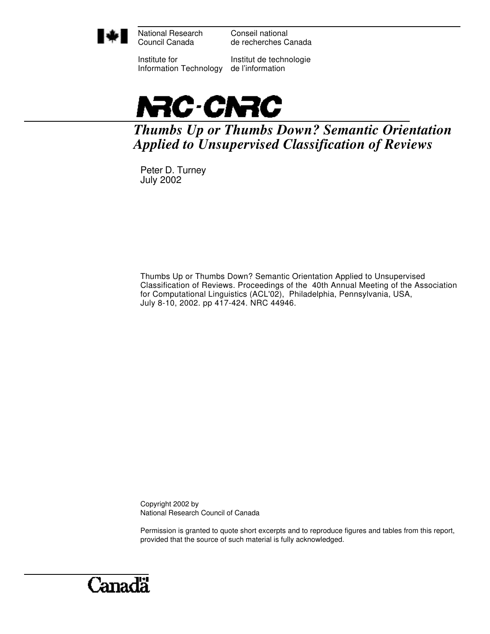

National Research Council Canada

Conseil national de recherches Canada

Institute for Information Technology

Institut de technologie de l'information



*Thumbs Up or Thumbs Down? Semantic Orientation Applied to Unsupervised Classification of Reviews*

Peter D. Turney July 2002

Thumbs Up or Thumbs Down? Semantic Orientation Applied to Unsupervised Classification of Reviews. Proceedings of the 40th Annual Meeting of the Association for Computational Linguistics (ACL'02), Philadelphia, Pennsylvania, USA, July 8-10, 2002. pp 417-424. NRC 44946.

Copyright 2002 by National Research Council of Canada

Permission is granted to quote short excerpts and to reproduce figures and tables from this report, provided that the source of such material is fully acknowledged.

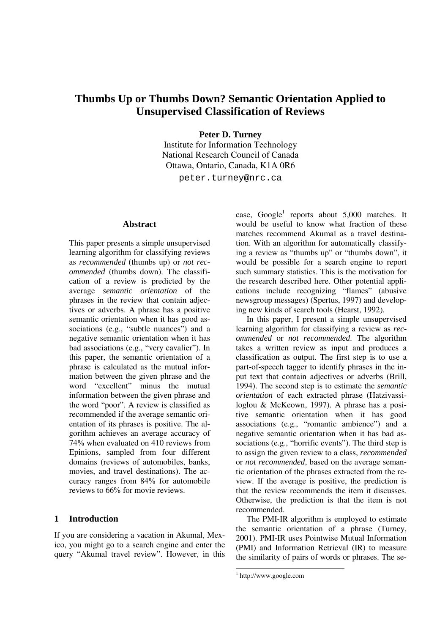### **Thumbs Up or Thumbs Down? Semantic Orientation Applied to Unsupervised Classification of Reviews**

**Peter D. Turney** 

Institute for Information Technology National Research Council of Canada Ottawa, Ontario, Canada, K1A 0R6

peter.turney@nrc.ca

#### **Abstract**

This paper presents a simple unsupervised learning algorithm for classifying reviews as *recommended* (thumbs up) or *not recommended* (thumbs down). The classification of a review is predicted by the average *semantic orientation* of the phrases in the review that contain adjectives or adverbs. A phrase has a positive semantic orientation when it has good associations (e.g., "subtle nuances") and a negative semantic orientation when it has bad associations (e.g., "very cavalier"). In this paper, the semantic orientation of a phrase is calculated as the mutual information between the given phrase and the word "excellent" minus the mutual information between the given phrase and the word "poor". A review is classified as recommended if the average semantic orientation of its phrases is positive. The algorithm achieves an average accuracy of 74% when evaluated on 410 reviews from Epinions, sampled from four different domains (reviews of automobiles, banks, movies, and travel destinations). The accuracy ranges from 84% for automobile reviews to 66% for movie reviews.

#### **1 Introduction**

If you are considering a vacation in Akumal, Mexico, you might go to a search engine and enter the query "Akumal travel review". However, in this

case, Google<sup>1</sup> reports about  $5,000$  matches. It would be useful to know what fraction of these matches recommend Akumal as a travel destination. With an algorithm for automatically classifying a review as "thumbs up" or "thumbs down", it would be possible for a search engine to report such summary statistics. This is the motivation for the research described here. Other potential applications include recognizing "flames" (abusive newsgroup messages) (Spertus, 1997) and developing new kinds of search tools (Hearst, 1992).

In this paper, I present a simple unsupervised learning algorithm for classifying a review as *recommended* or *not recommended*. The algorithm takes a written review as input and produces a classification as output. The first step is to use a part-of-speech tagger to identify phrases in the input text that contain adjectives or adverbs (Brill, 1994). The second step is to estimate the *semantic orientation* of each extracted phrase (Hatzivassiloglou & McKeown, 1997). A phrase has a positive semantic orientation when it has good associations (e.g., "romantic ambience") and a negative semantic orientation when it has bad associations (e.g., "horrific events"). The third step is to assign the given review to a class, *recommended* or *not recommended*, based on the average semantic orientation of the phrases extracted from the review. If the average is positive, the prediction is that the review recommends the item it discusses. Otherwise, the prediction is that the item is not recommended.

The PMI-IR algorithm is employed to estimate the semantic orientation of a phrase (Turney, 2001). PMI-IR uses Pointwise Mutual Information (PMI) and Information Retrieval (IR) to measure the similarity of pairs of words or phrases. The se-

-

<sup>1</sup> http://www.google.com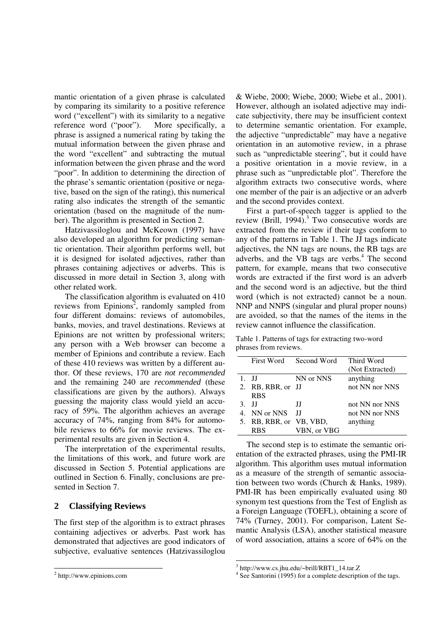mantic orientation of a given phrase is calculated by comparing its similarity to a positive reference word ("excellent") with its similarity to a negative reference word ("poor"). More specifically, a phrase is assigned a numerical rating by taking the mutual information between the given phrase and the word "excellent" and subtracting the mutual information between the given phrase and the word "poor". In addition to determining the direction of the phrase's semantic orientation (positive or negative, based on the sign of the rating), this numerical rating also indicates the strength of the semantic orientation (based on the magnitude of the number). The algorithm is presented in Section 2.

Hatzivassiloglou and McKeown (1997) have also developed an algorithm for predicting semantic orientation. Their algorithm performs well, but it is designed for isolated adjectives, rather than phrases containing adjectives or adverbs. This is discussed in more detail in Section 3, along with other related work.

The classification algorithm is evaluated on 410 reviews from Epinions<sup>2</sup>, randomly sampled from four different domains: reviews of automobiles, banks, movies, and travel destinations. Reviews at Epinions are not written by professional writers; any person with a Web browser can become a member of Epinions and contribute a review. Each of these 410 reviews was written by a different author. Of these reviews, 170 are *not recommended* and the remaining 240 are *recommended* (these classifications are given by the authors). Always guessing the majority class would yield an accuracy of 59%. The algorithm achieves an average accuracy of 74%, ranging from 84% for automobile reviews to 66% for movie reviews. The experimental results are given in Section 4.

The interpretation of the experimental results, the limitations of this work, and future work are discussed in Section 5. Potential applications are outlined in Section 6. Finally, conclusions are presented in Section 7.

#### **2 Classifying Reviews**

The first step of the algorithm is to extract phrases containing adjectives or adverbs. Past work has demonstrated that adjectives are good indicators of subjective, evaluative sentences (Hatzivassiloglou

 $\overline{a}$ 

& Wiebe, 2000; Wiebe, 2000; Wiebe et al., 2001). However, although an isolated adjective may indicate subjectivity, there may be insufficient context to determine semantic orientation. For example, the adjective "unpredictable" may have a negative orientation in an automotive review, in a phrase such as "unpredictable steering", but it could have a positive orientation in a movie review, in a phrase such as "unpredictable plot". Therefore the algorithm extracts two consecutive words, where one member of the pair is an adjective or an adverb and the second provides context.

First a part-of-speech tagger is applied to the review (Brill,  $1994$ ).<sup>3</sup> Two consecutive words are extracted from the review if their tags conform to any of the patterns in Table 1. The JJ tags indicate adjectives, the NN tags are nouns, the RB tags are adverbs, and the VB tags are verbs.<sup>4</sup> The second pattern, for example, means that two consecutive words are extracted if the first word is an adverb and the second word is an adjective, but the third word (which is not extracted) cannot be a noun. NNP and NNPS (singular and plural proper nouns) are avoided, so that the names of the items in the review cannot influence the classification.

Table 1. Patterns of tags for extracting two-word phrases from reviews.

|    | First Word           | Second Word | Third Word      |
|----|----------------------|-------------|-----------------|
|    |                      |             | (Not Extracted) |
|    | 1. H                 | NN or NNS   | anything        |
|    | 2. RB, RBR, or JJ    |             | not NN nor NNS  |
|    | <b>RBS</b>           |             |                 |
|    | $3.$ II              | Л           | not NN nor NNS  |
| 4  | NN or NNS            | Л           | not NN nor NNS  |
| 5. | RB, RBR, or VB, VBD, |             | anything        |
|    | <b>RBS</b>           | VBN, or VBG |                 |

The second step is to estimate the semantic orientation of the extracted phrases, using the PMI-IR algorithm. This algorithm uses mutual information as a measure of the strength of semantic association between two words (Church & Hanks, 1989). PMI-IR has been empirically evaluated using 80 synonym test questions from the Test of English as a Foreign Language (TOEFL), obtaining a score of 74% (Turney, 2001). For comparison, Latent Semantic Analysis (LSA), another statistical measure of word association, attains a score of 64% on the

<sup>2</sup> http://www.epinions.com

 3 http://www.cs.jhu.edu/~brill/RBT1\_14.tar.Z

<sup>4</sup> See Santorini (1995) for a complete description of the tags.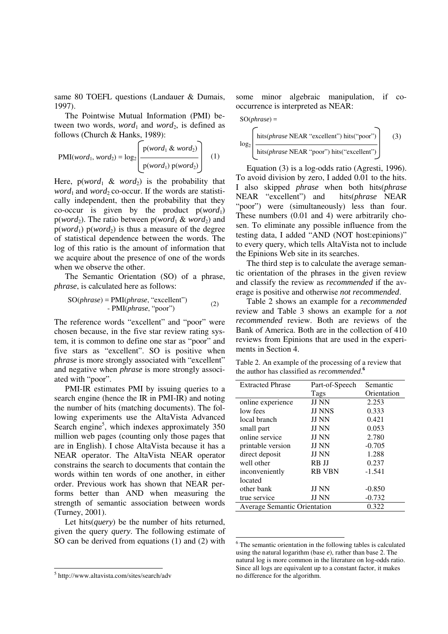same 80 TOEFL questions (Landauer & Dumais, 1997).

The Pointwise Mutual Information (PMI) between two words,  $word_1$  and  $word_2$ , is defined as follows (Church & Hanks, 1989):

$$
PMI(word_1, word_2) = log_2\left(\frac{p(word_1 \& word_2)}{p(word_1) p(word_2)}\right)
$$
 (1)

Here,  $p(word_1 \& word_2)$  is the probability that *word*<sub>1</sub> and *word*<sub>2</sub> co-occur. If the words are statistically independent, then the probability that they co-occur is given by the product  $p(word_1)$  $p(word_2)$ . The ratio between  $p(word_1 \& word_2)$  and  $p(word_1) p(word_2)$  is thus a measure of the degree of statistical dependence between the words. The log of this ratio is the amount of information that we acquire about the presence of one of the words when we observe the other.

The Semantic Orientation (SO) of a phrase, *phrase*, is calculated here as follows:

$$
SO(phrase) = PMI(phrase, "excellent")
$$
  
- PMI(phrase, "poor") (2)

The reference words "excellent" and "poor" were chosen because, in the five star review rating system, it is common to define one star as "poor" and five stars as "excellent". SO is positive when *phrase* is more strongly associated with "excellent" and negative when *phrase* is more strongly associated with "poor".

PMI-IR estimates PMI by issuing queries to a search engine (hence the IR in PMI-IR) and noting the number of hits (matching documents). The following experiments use the AltaVista Advanced Search engine<sup>5</sup>, which indexes approximately 350 million web pages (counting only those pages that are in English). I chose AltaVista because it has a NEAR operator. The AltaVista NEAR operator constrains the search to documents that contain the words within ten words of one another, in either order. Previous work has shown that NEAR performs better than AND when measuring the strength of semantic association between words (Turney, 2001).

Let hits(*query*) be the number of hits returned, given the query *query*. The following estimate of SO can be derived from equations (1) and (2) with

 $\overline{a}$ 

some minor algebraic manipulation, if cooccurrence is interpreted as NEAR:

$$
SO(phrase) =
$$
\n
$$
log_2 \left( \frac{\text{hits(phrase NEAR "excellent") hits("poor")}}{\text{hits(phrase NEAR "poor") hits("excellent")}} \right)
$$
\n(3)

Equation (3) is a log-odds ratio (Agresti, 1996). To avoid division by zero, I added 0.01 to the hits. I also skipped *phrase* when both hits(*phrase* NEAR "excellent") and hits(*phrase* NEAR "poor") were (simultaneously) less than four. These numbers (0.01 and 4) were arbitrarily chosen. To eliminate any possible influence from the testing data, I added "AND (NOT host:epinions)" to every query, which tells AltaVista not to include the Epinions Web site in its searches.

The third step is to calculate the average semantic orientation of the phrases in the given review and classify the review as *recommended* if the average is positive and otherwise *not recommended*.

Table 2 shows an example for a *recommended* review and Table 3 shows an example for a *not recommended* review. Both are reviews of the Bank of America. Both are in the collection of 410 reviews from Epinions that are used in the experiments in Section 4.

Table 2. An example of the processing of a review that the author has classified as *recommended*. **6**

| <b>Extracted Phrase</b>             | Part-of-Speech | Semantic    |
|-------------------------------------|----------------|-------------|
|                                     | Tags           | Orientation |
| online experience                   | <b>JJ NN</b>   | 2.253       |
| low fees                            | <b>JJ NNS</b>  | 0.333       |
| local branch                        | <b>JJ NN</b>   | 0.421       |
| small part                          | <b>JJ NN</b>   | 0.053       |
| online service                      | <b>JJ NN</b>   | 2.780       |
| printable version                   | <b>JJ NN</b>   | $-0.705$    |
| direct deposit                      | <b>JJ NN</b>   | 1.288       |
| well other                          | RB JJ          | 0.237       |
| inconveniently                      | <b>RB VBN</b>  | $-1.541$    |
| located                             |                |             |
| other bank                          | JJ NN          | $-0.850$    |
| true service                        | JJ NN          | $-0.732$    |
| <b>Average Semantic Orientation</b> |                | 0.322       |

<sup>&</sup>lt;sup>6</sup> The semantic orientation in the following tables is calculated using the natural logarithm (base *e*), rather than base 2. The natural log is more common in the literature on log-odds ratio. Since all logs are equivalent up to a constant factor, it makes no difference for the algorithm.

j

<sup>5</sup> http://www.altavista.com/sites/search/adv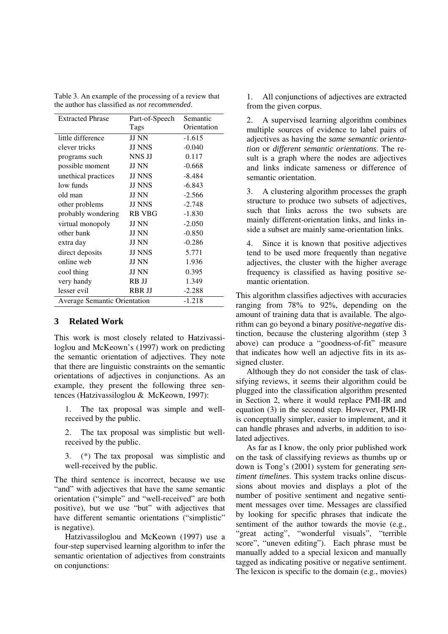| Table 3. An example of the processing of a review that |  |
|--------------------------------------------------------|--|
| the author has classified as <i>not recommended</i> .  |  |

| <b>Extracted Phrase</b>                         | Part-of-Speech | Semantic    |
|-------------------------------------------------|----------------|-------------|
|                                                 | Tags           | Orientation |
| little difference                               | <b>JJ NN</b>   | $-1.615$    |
| clever tricks                                   | <b>JJ NNS</b>  | $-0.040$    |
| programs such                                   | NNS JJ         | 0.117       |
| possible moment                                 | <b>JJ NN</b>   | $-0.668$    |
| unethical practices                             | <b>JJ NNS</b>  | $-8.484$    |
| low funds                                       | <b>JJ NNS</b>  | $-6.843$    |
| old man                                         | <b>JJ NN</b>   | $-2.566$    |
| other problems                                  | <b>JJ NNS</b>  | $-2.748$    |
| probably wondering                              | <b>RB VBG</b>  | $-1.830$    |
| virtual monopoly                                | <b>JJ NN</b>   | $-2.050$    |
| other bank                                      | <b>JJ NN</b>   | $-0.850$    |
| extra day                                       | <b>JJ NN</b>   | $-0.286$    |
| direct deposits                                 | <b>JJ NNS</b>  | 5.771       |
| online web                                      | <b>JJ NN</b>   | 1.936       |
| cool thing                                      | <b>JJ NN</b>   | 0.395       |
| very handy                                      | RB JJ          | 1.349       |
| lesser evil                                     | <b>RBR JJ</b>  | $-2.288$    |
| $-1.218$<br><b>Average Semantic Orientation</b> |                |             |

#### **3 Related Work**

This work is most closely related to Hatzivassiloglou and McKeown's (1997) work on predicting the semantic orientation of adjectives. They note that there are linguistic constraints on the semantic orientations of adjectives in conjunctions. As an example, they present the following three sentences (Hatzivassiloglou & McKeown, 1997):

1. The tax proposal was simple and wellreceived by the public.

2. The tax proposal was simplistic but wellreceived by the public.

3. (\*) The tax proposal was simplistic and well-received by the public.

The third sentence is incorrect, because we use "and" with adjectives that have the same semantic orientation ("simple" and "well-received" are both positive), but we use "but" with adjectives that have different semantic orientations ("simplistic" is negative).

Hatzivassiloglou and McKeown (1997) use a four-step supervised learning algorithm to infer the semantic orientation of adjectives from constraints on conjunctions:

1. All conjunctions of adjectives are extracted from the given corpus.

2. A supervised learning algorithm combines multiple sources of evidence to label pairs of adjectives as having the *same semantic orientation* or *different semantic orientations*. The result is a graph where the nodes are adjectives and links indicate sameness or difference of semantic orientation.

3. A clustering algorithm processes the graph structure to produce two subsets of adjectives, such that links across the two subsets are mainly different-orientation links, and links inside a subset are mainly same-orientation links.

4. Since it is known that positive adjectives tend to be used more frequently than negative adjectives, the cluster with the higher average frequency is classified as having positive semantic orientation.

This algorithm classifies adjectives with accuracies ranging from 78% to 92%, depending on the amount of training data that is available. The algorithm can go beyond a binary *positive-negative* distinction, because the clustering algorithm (step 3 above) can produce a "goodness-of-fit" measure that indicates how well an adjective fits in its assigned cluster.

Although they do not consider the task of classifying reviews, it seems their algorithm could be plugged into the classification algorithm presented in Section 2, where it would replace PMI-IR and equation (3) in the second step. However, PMI-IR is conceptually simpler, easier to implement, and it can handle phrases and adverbs, in addition to isolated adjectives.

As far as I know, the only prior published work on the task of classifying reviews as thumbs up or down is Tong's (2001) system for generating *sentiment timelines*. This system tracks online discussions about movies and displays a plot of the number of positive sentiment and negative sentiment messages over time. Messages are classified by looking for specific phrases that indicate the sentiment of the author towards the movie (e.g., "great acting", "wonderful visuals", "terrible score", "uneven editing"). Each phrase must be manually added to a special lexicon and manually tagged as indicating positive or negative sentiment. The lexicon is specific to the domain (e.g., movies)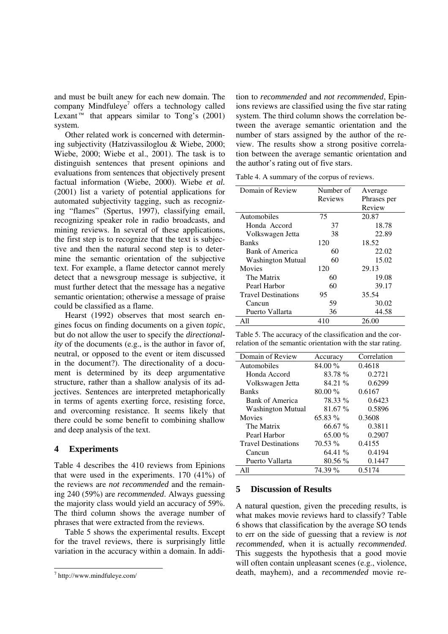and must be built anew for each new domain. The company Mindfuleye $^7$  offers a technology called Lexant<sup>™</sup> that appears similar to Tong's  $(2001)$ system.

Other related work is concerned with determining subjectivity (Hatzivassiloglou & Wiebe, 2000; Wiebe, 2000; Wiebe et al., 2001). The task is to distinguish sentences that present opinions and evaluations from sentences that objectively present factual information (Wiebe, 2000). Wiebe *et al.* (2001) list a variety of potential applications for automated subjectivity tagging, such as recognizing "flames" (Spertus, 1997), classifying email, recognizing speaker role in radio broadcasts, and mining reviews. In several of these applications, the first step is to recognize that the text is subjective and then the natural second step is to determine the semantic orientation of the subjective text. For example, a flame detector cannot merely detect that a newsgroup message is subjective, it must further detect that the message has a negative semantic orientation; otherwise a message of praise could be classified as a flame.

Hearst (1992) observes that most search engines focus on finding documents on a given *topic*, but do not allow the user to specify the *directionality* of the documents (e.g., is the author in favor of, neutral, or opposed to the event or item discussed in the document?). The directionality of a document is determined by its deep argumentative structure, rather than a shallow analysis of its adjectives. Sentences are interpreted metaphorically in terms of agents exerting force, resisting force, and overcoming resistance. It seems likely that there could be some benefit to combining shallow and deep analysis of the text.

#### **4 Experiments**

Table 4 describes the 410 reviews from Epinions that were used in the experiments. 170 (41%) of the reviews are *not recommended* and the remaining 240 (59%) are *recommended*. Always guessing the majority class would yield an accuracy of 59%. The third column shows the average number of phrases that were extracted from the reviews.

Table 5 shows the experimental results. Except for the travel reviews, there is surprisingly little variation in the accuracy within a domain. In addi-

 $\overline{a}$ 

tion to *recommended* and *not recommended*, Epinions reviews are classified using the five star rating system. The third column shows the correlation between the average semantic orientation and the number of stars assigned by the author of the review. The results show a strong positive correlation between the average semantic orientation and the author's rating out of five stars.

Table 4. A summary of the corpus of reviews.

| Domain of Review           | Number of | Average     |
|----------------------------|-----------|-------------|
|                            | Reviews   | Phrases per |
|                            |           | Review      |
| Automobiles                | 75        | 20.87       |
| Honda Accord               | 37        | 18.78       |
| Volkswagen Jetta           | 38        | 22.89       |
| <b>Banks</b>               | 120       | 18.52       |
| <b>Bank of America</b>     | 60        | 22.02       |
| Washington Mutual          | 60        | 15.02       |
| Movies                     | 120       | 29.13       |
| The Matrix                 | 60        | 19.08       |
| Pearl Harbor               | 60        | 39.17       |
| <b>Travel Destinations</b> | 95        | 35.54       |
| Cancun                     | 59        | 30.02       |
| Puerto Vallarta            | 36        | 44.58       |
| All                        | 410       | 26.00       |

Table 5. The accuracy of the classification and the correlation of the semantic orientation with the star rating.

| Domain of Review           | Accuracy  | Correlation |
|----------------------------|-----------|-------------|
| Automobiles                | 84.00 %   | 0.4618      |
| Honda Accord               | 83.78 %   | 0.2721      |
| Volkswagen Jetta           | 84.21 %   | 0.6299      |
| <b>Banks</b>               | $80.00\%$ | 0.6167      |
| Bank of America            | 78.33 %   | 0.6423      |
| Washington Mutual          | 81.67 %   | 0.5896      |
| Movies                     | $65.83\%$ | 0.3608      |
| The Matrix                 | 66.67 %   | 0.3811      |
| Pearl Harbor               | $65.00\%$ | 0.2907      |
| <b>Travel Destinations</b> | 70.53 %   | 0.4155      |
| Cancun                     | 64.41%    | 0.4194      |
| Puerto Vallarta            | $80.56\%$ | 0.1447      |
| All                        | 74.39 %   | 0.5174      |

#### **5 Discussion of Results**

A natural question, given the preceding results, is what makes movie reviews hard to classify? Table 6 shows that classification by the average SO tends to err on the side of guessing that a review is *not recommended*, when it is actually *recommended*. This suggests the hypothesis that a good movie will often contain unpleasant scenes (e.g., violence, death, mayhem), and a *recommended* movie re-

<sup>7</sup> http://www.mindfuleye.com/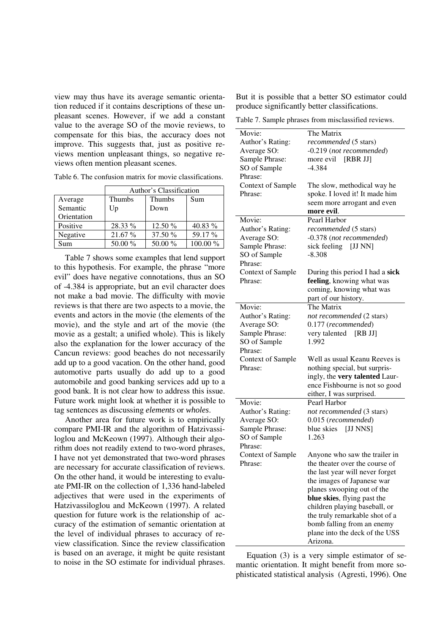view may thus have its average semantic orientation reduced if it contains descriptions of these unpleasant scenes. However, if we add a constant value to the average SO of the movie reviews, to compensate for this bias, the accuracy does not improve. This suggests that, just as positive reviews mention unpleasant things, so negative reviews often mention pleasant scenes.

Table 6. The confusion matrix for movie classifications.

|             | Author's Classification |               |           |
|-------------|-------------------------|---------------|-----------|
| Average     | <b>Thumbs</b>           | <b>Thumbs</b> | Sum       |
| Semantic    | Up                      | Down          |           |
| Orientation |                         |               |           |
| Positive    | 28.33 %                 | 12.50 %       | 40.83 $%$ |
| Negative    | 21.67 %                 | 37.50 %       | 59.17 %   |
| Sum         | 50.00 %                 | 50.00 %       | 100.00 %  |

Table 7 shows some examples that lend support to this hypothesis. For example, the phrase "more evil" does have negative connotations, thus an SO of -4.384 is appropriate, but an evil character does not make a bad movie. The difficulty with movie reviews is that there are two aspects to a movie, the events and actors in the movie (the elements of the movie), and the style and art of the movie (the movie as a gestalt; a unified whole). This is likely also the explanation for the lower accuracy of the Cancun reviews: good beaches do not necessarily add up to a good vacation. On the other hand, good automotive parts usually do add up to a good automobile and good banking services add up to a good bank. It is not clear how to address this issue. Future work might look at whether it is possible to tag sentences as discussing *elements* or *wholes*.

Another area for future work is to empirically compare PMI-IR and the algorithm of Hatzivassiloglou and McKeown (1997). Although their algorithm does not readily extend to two-word phrases, I have not yet demonstrated that two-word phrases are necessary for accurate classification of reviews. On the other hand, it would be interesting to evaluate PMI-IR on the collection of 1,336 hand-labeled adjectives that were used in the experiments of Hatzivassiloglou and McKeown (1997). A related question for future work is the relationship of accuracy of the estimation of semantic orientation at the level of individual phrases to accuracy of review classification. Since the review classification is based on an average, it might be quite resistant to noise in the SO estimate for individual phrases.

But it is possible that a better SO estimator could produce significantly better classifications.

Table 7. Sample phrases from misclassified reviews.

| Movie:<br>Author's Rating:<br>Average SO:<br>Sample Phrase:<br>SO of Sample<br>Phrase:<br>Context of Sample | The Matrix<br>recommended (5 stars)<br>-0.219 (not recommended)<br>more evil [RBR JJ]<br>$-4.384$<br>The slow, methodical way he                                                                                                                                                                                                             |
|-------------------------------------------------------------------------------------------------------------|----------------------------------------------------------------------------------------------------------------------------------------------------------------------------------------------------------------------------------------------------------------------------------------------------------------------------------------------|
| Phrase:                                                                                                     | spoke. I loved it! It made him<br>seem more arrogant and even<br>more evil.                                                                                                                                                                                                                                                                  |
| Movie:<br>Author's Rating:<br>Average SO:<br>Sample Phrase:<br>SO of Sample<br>Phrase:                      | Pearl Harbor<br>recommended (5 stars)<br>-0.378 (not recommended)<br>sick feeling [JJ NN]<br>$-8.308$                                                                                                                                                                                                                                        |
| Context of Sample<br>Phrase:                                                                                | During this period I had a sick<br>feeling, knowing what was<br>coming, knowing what was<br>part of our history.                                                                                                                                                                                                                             |
| Movie:<br>Author's Rating:<br>Average SO:<br>Sample Phrase:<br>SO of Sample<br>Phrase:                      | The Matrix<br>not recommended (2 stars)<br>0.177 (recommended)<br>very talented [RB JJ]<br>1.992                                                                                                                                                                                                                                             |
| Context of Sample<br>Phrase:                                                                                | Well as usual Keanu Reeves is<br>nothing special, but surpris-<br>ingly, the very talented Laur-<br>ence Fishbourne is not so good<br>either, I was surprised.                                                                                                                                                                               |
| Movie:<br>Author's Rating:<br>Average SO:<br>Sample Phrase:<br>SO of Sample<br>Phrase:                      | Pearl Harbor<br>not recommended (3 stars)<br>0.015 (recommended)<br>blue skies [JJ NNS]<br>1.263                                                                                                                                                                                                                                             |
| Context of Sample<br>Phrase:                                                                                | Anyone who saw the trailer in<br>the theater over the course of<br>the last year will never forget<br>the images of Japanese war<br>planes swooping out of the<br>blue skies, flying past the<br>children playing baseball, or<br>the truly remarkable shot of a<br>bomb falling from an enemy<br>plane into the deck of the USS<br>Arizona. |

Equation (3) is a very simple estimator of semantic orientation. It might benefit from more sophisticated statistical analysis (Agresti, 1996). One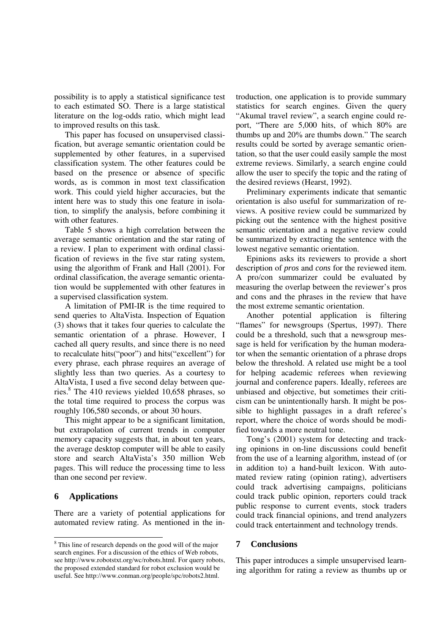possibility is to apply a statistical significance test to each estimated SO. There is a large statistical literature on the log-odds ratio, which might lead to improved results on this task.

This paper has focused on unsupervised classification, but average semantic orientation could be supplemented by other features, in a supervised classification system. The other features could be based on the presence or absence of specific words, as is common in most text classification work. This could yield higher accuracies, but the intent here was to study this one feature in isolation, to simplify the analysis, before combining it with other features.

Table 5 shows a high correlation between the average semantic orientation and the star rating of a review. I plan to experiment with ordinal classification of reviews in the five star rating system, using the algorithm of Frank and Hall (2001). For ordinal classification, the average semantic orientation would be supplemented with other features in a supervised classification system.

A limitation of PMI-IR is the time required to send queries to AltaVista. Inspection of Equation (3) shows that it takes four queries to calculate the semantic orientation of a phrase. However, I cached all query results, and since there is no need to recalculate hits("poor") and hits("excellent") for every phrase, each phrase requires an average of slightly less than two queries. As a courtesy to AltaVista, I used a five second delay between queries.<sup>8</sup> The 410 reviews yielded 10,658 phrases, so the total time required to process the corpus was roughly 106,580 seconds, or about 30 hours.

This might appear to be a significant limitation, but extrapolation of current trends in computer memory capacity suggests that, in about ten years, the average desktop computer will be able to easily store and search AltaVista's 350 million Web pages. This will reduce the processing time to less than one second per review.

#### **6 Applications**

 $\overline{a}$ 

There are a variety of potential applications for automated review rating. As mentioned in the introduction, one application is to provide summary statistics for search engines. Given the query "Akumal travel review", a search engine could report, "There are 5,000 hits, of which 80% are thumbs up and 20% are thumbs down." The search results could be sorted by average semantic orientation, so that the user could easily sample the most extreme reviews. Similarly, a search engine could allow the user to specify the topic and the rating of the desired reviews (Hearst, 1992).

Preliminary experiments indicate that semantic orientation is also useful for summarization of reviews. A positive review could be summarized by picking out the sentence with the highest positive semantic orientation and a negative review could be summarized by extracting the sentence with the lowest negative semantic orientation.

Epinions asks its reviewers to provide a short description of *pros* and *cons* for the reviewed item. A pro/con summarizer could be evaluated by measuring the overlap between the reviewer's pros and cons and the phrases in the review that have the most extreme semantic orientation.

Another potential application is filtering "flames" for newsgroups (Spertus, 1997). There could be a threshold, such that a newsgroup message is held for verification by the human moderator when the semantic orientation of a phrase drops below the threshold. A related use might be a tool for helping academic referees when reviewing journal and conference papers. Ideally, referees are unbiased and objective, but sometimes their criticism can be unintentionally harsh. It might be possible to highlight passages in a draft referee's report, where the choice of words should be modified towards a more neutral tone.

Tong's (2001) system for detecting and tracking opinions in on-line discussions could benefit from the use of a learning algorithm, instead of (or in addition to) a hand-built lexicon. With automated review rating (opinion rating), advertisers could track advertising campaigns, politicians could track public opinion, reporters could track public response to current events, stock traders could track financial opinions, and trend analyzers could track entertainment and technology trends.

#### **7 Conclusions**

This paper introduces a simple unsupervised learning algorithm for rating a review as thumbs up or

<sup>&</sup>lt;sup>8</sup> This line of research depends on the good will of the major search engines. For a discussion of the ethics of Web robots, see http://www.robotstxt.org/wc/robots.html. For query robots, the proposed extended standard for robot exclusion would be useful. See http://www.conman.org/people/spc/robots2.html.